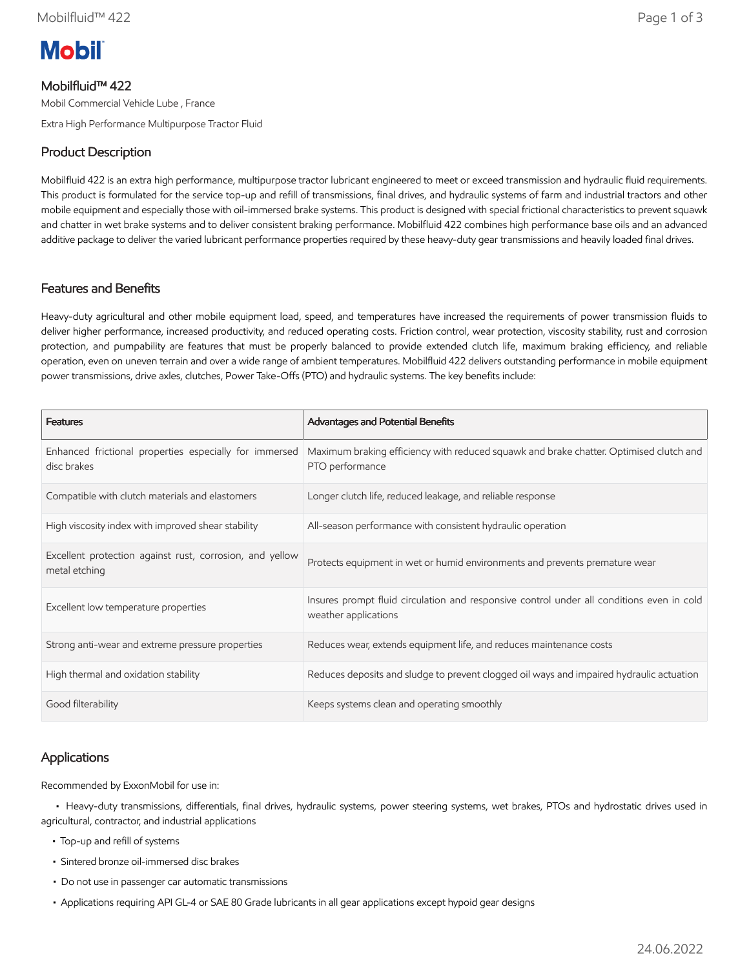# **Mobil**

# Mobilfluid™ 422

Mobil Commercial Vehicle Lube , France

Extra High Performance Multipurpose Tractor Fluid

## Product Description

Mobilfluid 422 is an extra high performance, multipurpose tractor lubricant engineered to meet or exceed transmission and hydraulic fluid requirements. This product is formulated for the service top-up and refill of transmissions, final drives, and hydraulic systems of farm and industrial tractors and other mobile equipment and especially those with oil-immersed brake systems. This product is designed with special frictional characteristics to prevent squawk and chatter in wet brake systems and to deliver consistent braking performance. Mobilfluid 422 combines high performance base oils and an advanced additive package to deliver the varied lubricant performance properties required by these heavy-duty gear transmissions and heavily loaded final drives.

### Features and Benefits

Heavy-duty agricultural and other mobile equipment load, speed, and temperatures have increased the requirements of power transmission fluids to deliver higher performance, increased productivity, and reduced operating costs. Friction control, wear protection, viscosity stability, rust and corrosion protection, and pumpability are features that must be properly balanced to provide extended clutch life, maximum braking efficiency, and reliable operation, even on uneven terrain and over a wide range of ambient temperatures. Mobilfluid 422 delivers outstanding performance in mobile equipment power transmissions, drive axles, clutches, Power Take-Offs (PTO) and hydraulic systems. The key benefits include:

| <b>Features</b>                                                           | <b>Advantages and Potential Benefits</b>                                                                          |
|---------------------------------------------------------------------------|-------------------------------------------------------------------------------------------------------------------|
| Enhanced frictional properties especially for immersed<br>disc brakes     | Maximum braking efficiency with reduced squawk and brake chatter. Optimised clutch and<br>PTO performance         |
| Compatible with clutch materials and elastomers                           | Longer clutch life, reduced leakage, and reliable response                                                        |
| High viscosity index with improved shear stability                        | All-season performance with consistent hydraulic operation                                                        |
| Excellent protection against rust, corrosion, and yellow<br>metal etching | Protects equipment in wet or humid environments and prevents premature wear                                       |
| Excellent low temperature properties                                      | Insures prompt fluid circulation and responsive control under all conditions even in cold<br>weather applications |
| Strong anti-wear and extreme pressure properties                          | Reduces wear, extends equipment life, and reduces maintenance costs                                               |
| High thermal and oxidation stability                                      | Reduces deposits and sludge to prevent clogged oil ways and impaired hydraulic actuation                          |
| Good filterability                                                        | Keeps systems clean and operating smoothly                                                                        |

## Applications

Recommended by ExxonMobil for use in:

 • Heavy-duty transmissions, differentials, final drives, hydraulic systems, power steering systems, wet brakes, PTOs and hydrostatic drives used in agricultural, contractor, and industrial applications

- Top-up and refill of systems
- Sintered bronze oil-immersed disc brakes
- Do not use in passenger car automatic transmissions
- Applications requiring API GL-4 or SAE 80 Grade lubricants in all gear applications except hypoid gear designs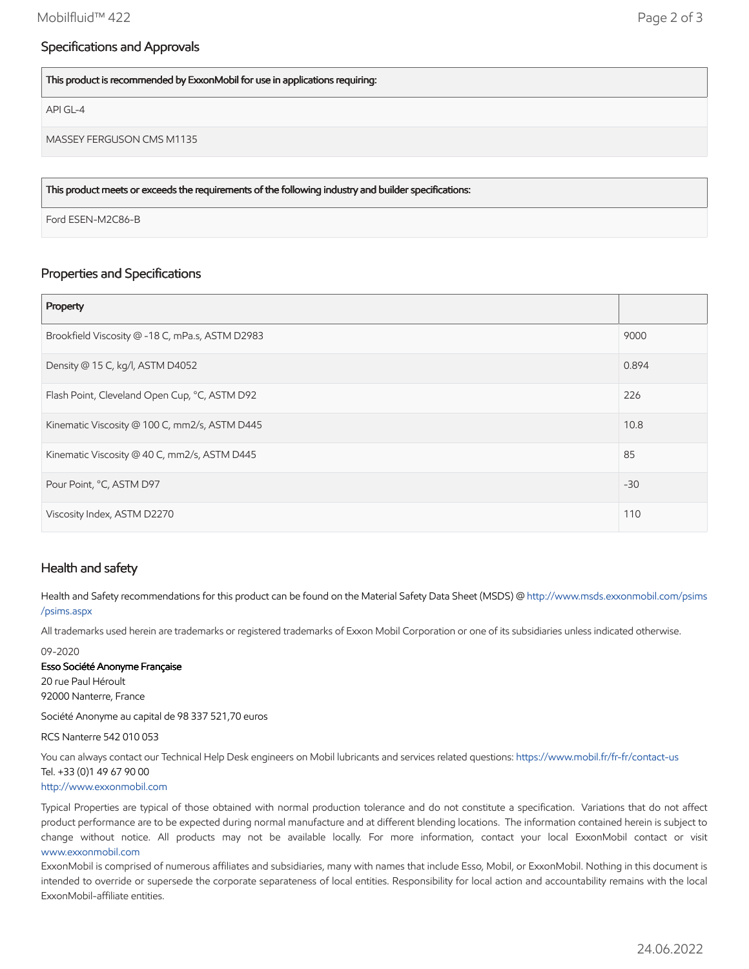#### Specifications and Approvals

This product is recommended by ExxonMobil for use in applications requiring:

API GL-4

MASSEY FERGUSON CMS M1135

This product meets or exceeds the requirements of the following industry and builder specifications:

Ford ESEN-M2C86-B

#### Properties and Specifications

| Property                                        |       |
|-------------------------------------------------|-------|
| Brookfield Viscosity @ -18 C, mPa.s, ASTM D2983 | 9000  |
| Density @ 15 C, kg/l, ASTM D4052                | 0.894 |
| Flash Point, Cleveland Open Cup, °C, ASTM D92   | 226   |
| Kinematic Viscosity @ 100 C, mm2/s, ASTM D445   | 10.8  |
| Kinematic Viscosity @ 40 C, mm2/s, ASTM D445    | 85    |
| Pour Point, °C, ASTM D97                        | $-30$ |
| Viscosity Index, ASTM D2270                     | 110   |

#### Health and safety

Health and Safety recommendations for this product can be found on the Material Safety Data Sheet (MSDS) @ [http://www.msds.exxonmobil.com/psims](http://www.msds.exxonmobil.com/psims/psims.aspx) /psims.aspx

All trademarks used herein are trademarks or registered trademarks of Exxon Mobil Corporation or one of its subsidiaries unless indicated otherwise.

09-2020

#### Esso Société Anonyme Française

20 rue Paul Héroult 92000 Nanterre, France

Société Anonyme au capital de 98 337 521,70 euros

#### RCS Nanterre 542 010 053

You can always contact our Technical Help Desk engineers on Mobil lubricants and services related questions:<https://www.mobil.fr/fr-fr/contact-us> Tel. +33 (0)1 49 67 90 00 [http://www.exxonmobil.com](http://www.exxonmobil.com/)

Typical Properties are typical of those obtained with normal production tolerance and do not constitute a specification. Variations that do not affect product performance are to be expected during normal manufacture and at different blending locations. The information contained herein is subject to change without notice. All products may not be available locally. For more information, contact your local ExxonMobil contact or visit [www.exxonmobil.com](http://www.exxonmobil.com/)

ExxonMobil is comprised of numerous affiliates and subsidiaries, many with names that include Esso, Mobil, or ExxonMobil. Nothing in this document is intended to override or supersede the corporate separateness of local entities. Responsibility for local action and accountability remains with the local ExxonMobil-affiliate entities.